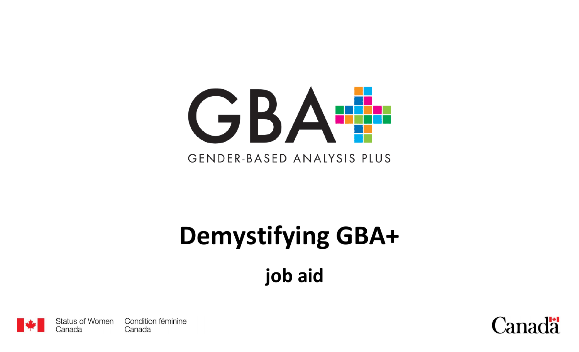

## **Demystifying GBA+**

**job aid**



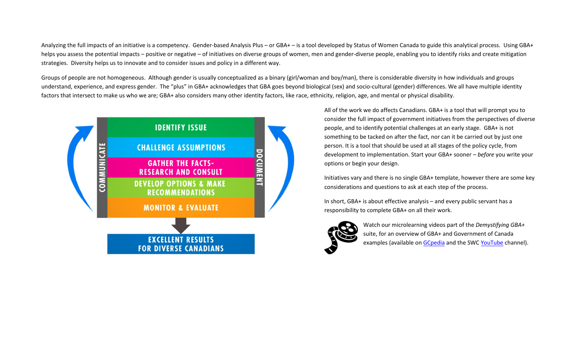Analyzing the full impacts of an initiative is a competency. Gender-based Analysis Plus – or GBA+ – is a tool developed by Status of Women Canada to guide this analytical process. Using GBA+ helps you assess the potential impacts – positive or negative – of initiatives on diverse groups of women, men and gender-diverse people, enabling you to identify risks and create mitigation strategies. Diversity helps us to innovate and to consider issues and policy in a different way.

Groups of people are not homogeneous. Although gender is usually conceptualized as a binary (girl/woman and boy/man), there is considerable diversity in how individuals and groups understand, experience, and express gender. The "plus" in GBA+ acknowledges that GBA goes beyond biological (sex) and socio-cultural (gender) differences. We all have multiple identity factors that intersect to make us who we are; GBA+ also considers many other identity factors, like race, ethnicity, religion, age, and mental or physical disability.



All of the work we do affects Canadians. GBA+ is a tool that will prompt you to consider the full impact of government initiatives from the perspectives of diverse people, and to identify potential challenges at an early stage. GBA+ is not something to be tacked on after the fact, nor can it be carried out by just one person. It is a tool that should be used at all stages of the policy cycle, from development to implementation. Start your GBA+ sooner – *before* you write your options or begin your design.

Initiatives vary and there is no single GBA+ template, however there are some key considerations and questions to ask at each step of the process.

In short, GBA+ is about effective analysis – and every public servant has a responsibility to complete GBA+ on all their work.



Watch our microlearning videos part of the *Demystifying GBA+* suite, for an overview of GBA+ and Government of Canada examples (available o[n GCpedia](http://www.gcpedia.gc.ca/wiki/GBA%2B_(Gender-based_Analysis%2B)/DIY) and the SWC [YouTube](https://www.youtube.com/user/CanadaSWC) channel).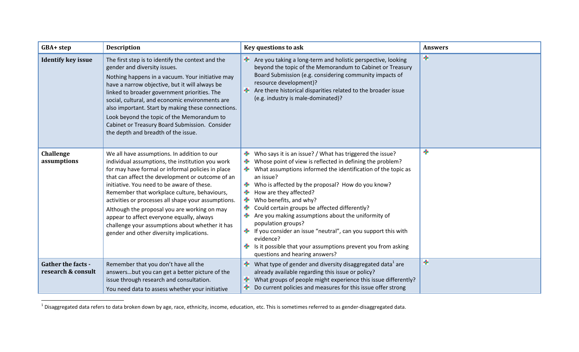| GBA+ step                                       | <b>Description</b>                                                                                                                                                                                                                                                                                                                                                                                                                                                                                                                                        | Key questions to ask                                                                                                                                                                                                                                                                                                                                                                                                                                                                                                                                                                                                                                         | <b>Answers</b> |
|-------------------------------------------------|-----------------------------------------------------------------------------------------------------------------------------------------------------------------------------------------------------------------------------------------------------------------------------------------------------------------------------------------------------------------------------------------------------------------------------------------------------------------------------------------------------------------------------------------------------------|--------------------------------------------------------------------------------------------------------------------------------------------------------------------------------------------------------------------------------------------------------------------------------------------------------------------------------------------------------------------------------------------------------------------------------------------------------------------------------------------------------------------------------------------------------------------------------------------------------------------------------------------------------------|----------------|
| <b>Identify key issue</b>                       | The first step is to identify the context and the<br>gender and diversity issues.<br>Nothing happens in a vacuum. Your initiative may<br>have a narrow objective, but it will always be<br>linked to broader government priorities. The<br>social, cultural, and economic environments are<br>also important. Start by making these connections.<br>Look beyond the topic of the Memorandum to<br>Cabinet or Treasury Board Submission. Consider<br>the depth and breadth of the issue.                                                                   | Are you taking a long-term and holistic perspective, looking<br>beyond the topic of the Memorandum to Cabinet or Treasury<br>Board Submission (e.g. considering community impacts of<br>resource development)?<br>Are there historical disparities related to the broader issue<br>(e.g. industry is male-dominated)?                                                                                                                                                                                                                                                                                                                                        | ۰              |
| Challenge<br>assumptions                        | We all have assumptions. In addition to our<br>individual assumptions, the institution you work<br>for may have formal or informal policies in place<br>that can affect the development or outcome of an<br>initiative. You need to be aware of these.<br>Remember that workplace culture, behaviours,<br>activities or processes all shape your assumptions.<br>Although the proposal you are working on may<br>appear to affect everyone equally, always<br>challenge your assumptions about whether it has<br>gender and other diversity implications. | Who says it is an issue? / What has triggered the issue?<br>Whose point of view is reflected in defining the problem?<br><b>→</b> What assumptions informed the identification of the topic as<br>an issue?<br>Who is affected by the proposal? How do you know?<br>÷<br>How are they affected?<br>Who benefits, and why?<br>Could certain groups be affected differently?<br>÷.<br>Are you making assumptions about the uniformity of<br>population groups?<br>If you consider an issue "neutral", can you support this with<br>. е при<br>evidence?<br>Is it possible that your assumptions prevent you from asking<br>÷<br>questions and hearing answers? | ÷              |
| <b>Gather the facts -</b><br>research & consult | Remember that you don't have all the<br>answersbut you can get a better picture of the<br>issue through research and consultation.<br>You need data to assess whether your initiative                                                                                                                                                                                                                                                                                                                                                                     | $\bullet$ What type of gender and diversity disaggregated data <sup>1</sup> are<br>already available regarding this issue or policy?<br>What groups of people might experience this issue differently?<br>Do current policies and measures for this issue offer strong                                                                                                                                                                                                                                                                                                                                                                                       | ۰              |

<u>ndiscree</u><br><sup>1</sup> Disaggregated data refers to data broken down by age, race, ethnicity, income, education, etc. This is sometimes referred to as gender-disaggregated data.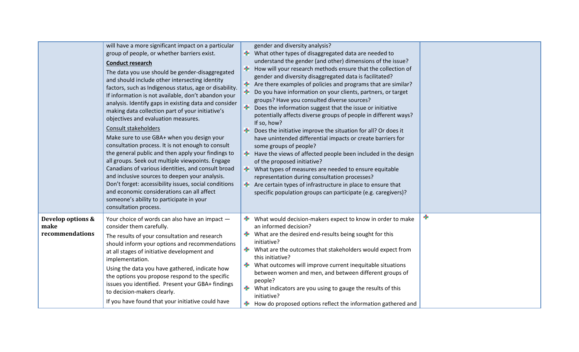|                                              | will have a more significant impact on a particular<br>group of people, or whether barriers exist.<br><b>Conduct research</b><br>The data you use should be gender-disaggregated<br>and should include other intersecting identity<br>factors, such as Indigenous status, age or disability.<br>If information is not available, don't abandon your<br>analysis. Identify gaps in existing data and consider<br>making data collection part of your initiative's<br>objectives and evaluation measures.<br>Consult stakeholders<br>Make sure to use GBA+ when you design your<br>consultation process. It is not enough to consult<br>the general public and then apply your findings to<br>all groups. Seek out multiple viewpoints. Engage<br>Canadians of various identities, and consult broad<br>and inclusive sources to deepen your analysis.<br>Don't forget: accessibility issues, social conditions<br>and economic considerations can all affect<br>someone's ability to participate in your<br>consultation process. | gender and diversity analysis?<br>÷.<br>What other types of disaggregated data are needed to<br>understand the gender (and other) dimensions of the issue?<br>How will your research methods ensure that the collection of<br>gender and diversity disaggregated data is facilitated?<br>Are there examples of policies and programs that are similar?<br>Do you have information on your clients, partners, or target<br>÷.<br>groups? Have you consulted diverse sources?<br>٠.<br>Does the information suggest that the issue or initiative<br>potentially affects diverse groups of people in different ways?<br>If so, how?<br>Does the initiative improve the situation for all? Or does it<br>÷<br>have unintended differential impacts or create barriers for<br>some groups of people?<br>Have the views of affected people been included in the design<br>of the proposed initiative?<br>What types of measures are needed to ensure equitable<br>representation during consultation processes?<br>Are certain types of infrastructure in place to ensure that<br>specific population groups can participate (e.g. caregivers)? |  |
|----------------------------------------------|----------------------------------------------------------------------------------------------------------------------------------------------------------------------------------------------------------------------------------------------------------------------------------------------------------------------------------------------------------------------------------------------------------------------------------------------------------------------------------------------------------------------------------------------------------------------------------------------------------------------------------------------------------------------------------------------------------------------------------------------------------------------------------------------------------------------------------------------------------------------------------------------------------------------------------------------------------------------------------------------------------------------------------|-------------------------------------------------------------------------------------------------------------------------------------------------------------------------------------------------------------------------------------------------------------------------------------------------------------------------------------------------------------------------------------------------------------------------------------------------------------------------------------------------------------------------------------------------------------------------------------------------------------------------------------------------------------------------------------------------------------------------------------------------------------------------------------------------------------------------------------------------------------------------------------------------------------------------------------------------------------------------------------------------------------------------------------------------------------------------------------------------------------------------------------------|--|
| Develop options &<br>make<br>recommendations | Your choice of words can also have an impact -<br>consider them carefully.<br>The results of your consultation and research<br>should inform your options and recommendations<br>at all stages of initiative development and<br>implementation.<br>Using the data you have gathered, indicate how<br>the options you propose respond to the specific<br>issues you identified. Present your GBA+ findings<br>to decision-makers clearly.<br>If you have found that your initiative could have                                                                                                                                                                                                                                                                                                                                                                                                                                                                                                                                    | ÷<br>What would decision-makers expect to know in order to make<br>an informed decision?<br><b>→</b> What are the desired end-results being sought for this<br>initiative?<br>What are the outcomes that stakeholders would expect from<br>this initiative?<br>What outcomes will improve current inequitable situations<br>between women and men, and between different groups of<br>people?<br>What indicators are you using to gauge the results of this<br>÷<br>initiative?<br>How do proposed options reflect the information gathered and                                                                                                                                                                                                                                                                                                                                                                                                                                                                                                                                                                                           |  |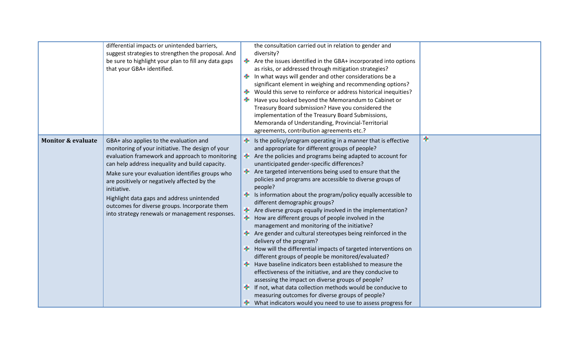|                               | differential impacts or unintended barriers,<br>suggest strategies to strengthen the proposal. And<br>be sure to highlight your plan to fill any data gaps<br>that your GBA+ identified.                                                                                                                                                                                                                                                                               | 全<br>÷. | the consultation carried out in relation to gender and<br>diversity?<br>Are the issues identified in the GBA+ incorporated into options<br>as risks, or addressed through mitigation strategies?<br>In what ways will gender and other considerations be a<br>significant element in weighing and recommending options?<br>Would this serve to reinforce or address historical inequities?<br>Have you looked beyond the Memorandum to Cabinet or<br>Treasury Board submission? Have you considered the<br>implementation of the Treasury Board Submissions,<br>Memoranda of Understanding, Provincial-Territorial<br>agreements, contribution agreements etc.?                                                                                                                                                                                                                                                                                                                                                                                                                                                                                                                                                                                            |   |
|-------------------------------|------------------------------------------------------------------------------------------------------------------------------------------------------------------------------------------------------------------------------------------------------------------------------------------------------------------------------------------------------------------------------------------------------------------------------------------------------------------------|---------|------------------------------------------------------------------------------------------------------------------------------------------------------------------------------------------------------------------------------------------------------------------------------------------------------------------------------------------------------------------------------------------------------------------------------------------------------------------------------------------------------------------------------------------------------------------------------------------------------------------------------------------------------------------------------------------------------------------------------------------------------------------------------------------------------------------------------------------------------------------------------------------------------------------------------------------------------------------------------------------------------------------------------------------------------------------------------------------------------------------------------------------------------------------------------------------------------------------------------------------------------------|---|
| <b>Monitor &amp; evaluate</b> | GBA+ also applies to the evaluation and<br>monitoring of your initiative. The design of your<br>evaluation framework and approach to monitoring<br>can help address inequality and build capacity.<br>Make sure your evaluation identifies groups who<br>are positively or negatively affected by the<br>initiative.<br>Highlight data gaps and address unintended<br>outcomes for diverse groups. Incorporate them<br>into strategy renewals or management responses. | ÷.      | $\frac{1}{2}$ Is the policy/program operating in a manner that is effective<br>and appropriate for different groups of people?<br>Are the policies and programs being adapted to account for<br>unanticipated gender-specific differences?<br>Are targeted interventions being used to ensure that the<br>policies and programs are accessible to diverse groups of<br>people?<br>Is information about the program/policy equally accessible to<br>different demographic groups?<br>Are diverse groups equally involved in the implementation?<br>How are different groups of people involved in the<br>management and monitoring of the initiative?<br><b>*</b> Are gender and cultural stereotypes being reinforced in the<br>delivery of the program?<br><b>*</b> How will the differential impacts of targeted interventions on<br>different groups of people be monitored/evaluated?<br>Have baseline indicators been established to measure the<br>effectiveness of the initiative, and are they conducive to<br>assessing the impact on diverse groups of people?<br>If not, what data collection methods would be conducive to<br>measuring outcomes for diverse groups of people?<br>What indicators would you need to use to assess progress for | ۰ |